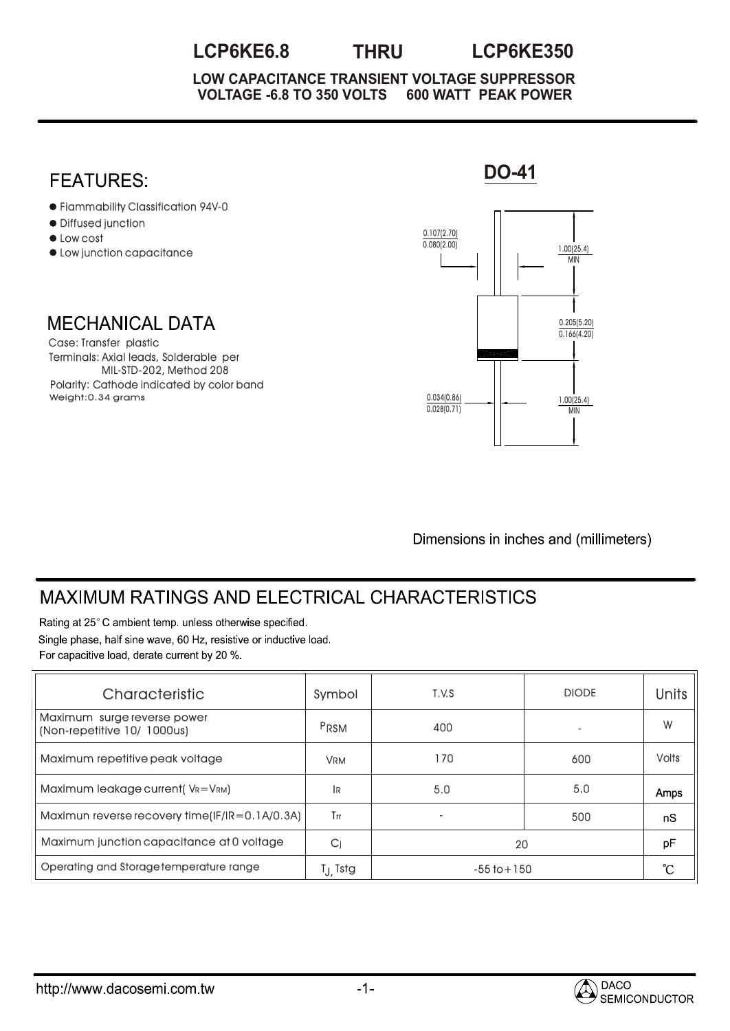## **LCP6KE6.8 THRU LCP6KE350**

**VOLTAGE -6.8 TO 350 VOLTS 600 WATT PEAK POWER LOW CAPACITANCE TRANSIENT VOLTAGE SUPPRESSOR**



Dimensions in inches and (millimeters)

## **MAXIMUM RATINGS AND ELECTRICAL CHARACTERISTICS**

Rating at 25°C ambient temp. unless otherwise specified. Single phase, half sine wave, 60 Hz, resistive or inductive load. For capacitive load, derate current by 20 %.

| Characteristic                                             | Symbol                | T.V.S           | <b>DIODE</b> | <b>Units</b> |
|------------------------------------------------------------|-----------------------|-----------------|--------------|--------------|
| Maximum surge reverse power<br>(Non-repetitive 10/ 1000us) | PRSM                  | 400             |              | W            |
| Maximum repetitive peak voltage                            | <b>VRM</b>            | 170             | 600          | <b>Volts</b> |
| Maximum leakage current (VR=VRM)                           | 1R                    | 5.0             | 5.0          | Amps         |
| Maximun reverse recovery time(IF/IR=0.1A/0.3A)             | Trr                   |                 | 500          | nS           |
| Maximum junction capacitance at 0 voltage                  | Cj                    | 20              | pF           |              |
| Operating and Storage temperature range                    | T <sub>.J.</sub> Tstg | $-55$ to $+150$ | °C           |              |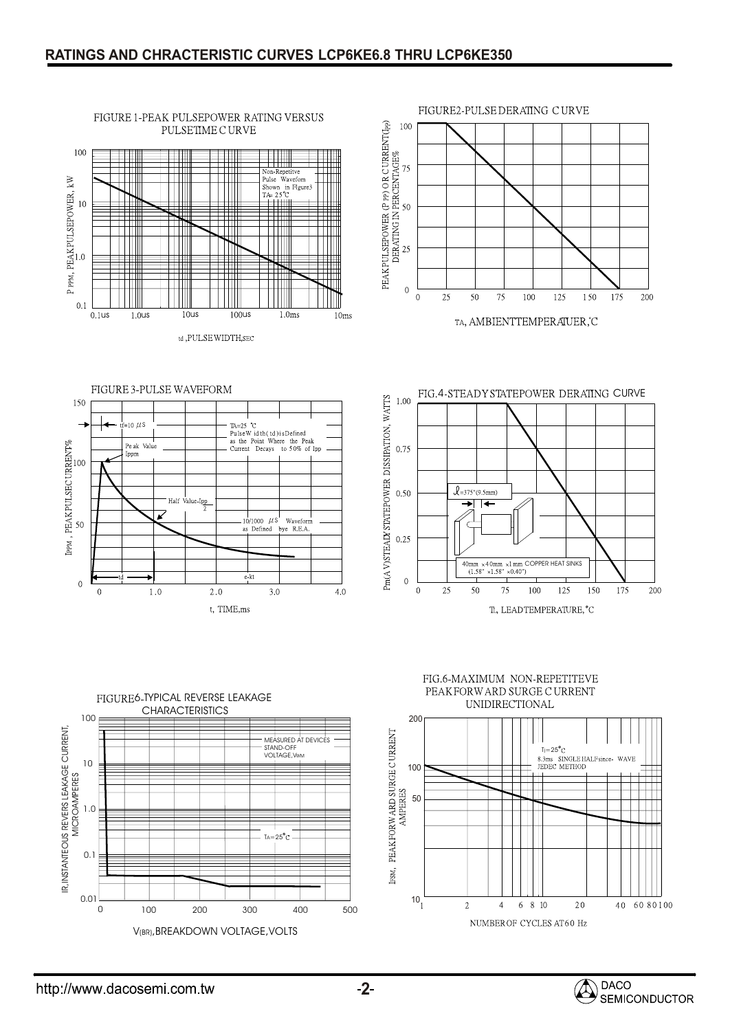

FIGURE 1-PEAK PULSEPOWER RATING VERSUS



TA, AMBIENTTEMPERAIUER, C







FIG.6-MAXIMUM NON-REPETITEVE PEAKFORW ARD SURGE CURRENT UNIDIRECTIONAL



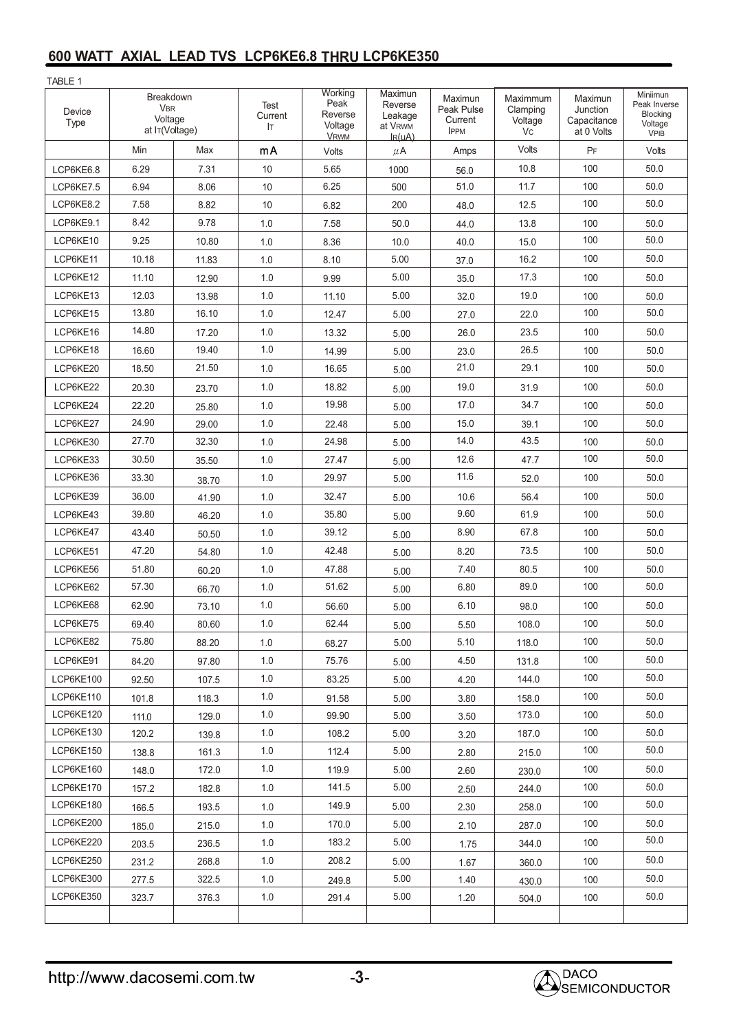## **600 WATT AXIAL LEAD TVS LCP6KE6.8 THRU LCP6KE350**

TARI F 1

| IADLE I<br>Device<br>Type | Breakdown<br><b>VBR</b><br>Voltage<br>at IT(Voltage) |       | Test<br>Current<br>lτ | Working<br>Peak<br>Reverse<br>Voltage<br><b>VRWM</b> | Maximun<br>Reverse<br>Leakage<br>at V <sub>RWM</sub><br>$I_R(uA)$ | Maximun<br>Peak Pulse<br>Current<br><b>IPPM</b> | Maximmum<br>Clamping<br>Voltage<br>Vc. | Maximun<br>Junction<br>Capacitance<br>at 0 Volts | Miniimun<br>Peak Inverse<br>Blocking<br>Voltage<br><b>VPIB</b> |
|---------------------------|------------------------------------------------------|-------|-----------------------|------------------------------------------------------|-------------------------------------------------------------------|-------------------------------------------------|----------------------------------------|--------------------------------------------------|----------------------------------------------------------------|
|                           | Min                                                  | Max   | mA                    | Volts                                                | $\mu$ A                                                           | Amps                                            | Volts                                  | PF                                               | Volts                                                          |
| LCP6KE6.8                 | 6.29                                                 | 7.31  | 10                    | 5.65                                                 | 1000                                                              | 56.0                                            | 10.8                                   | 100                                              | 50.0                                                           |
| LCP6KE7.5                 | 6.94                                                 | 8.06  | 10                    | 6.25                                                 | 500                                                               | 51.0                                            | 11.7                                   | 100                                              | 50.0                                                           |
| LCP6KE8.2                 | 7.58                                                 | 8.82  | 10                    | 6.82                                                 | 200                                                               | 48.0                                            | 12.5                                   | 100                                              | 50.0                                                           |
| LCP6KE9.1                 | 8.42                                                 | 9.78  | 1.0                   | 7.58                                                 | 50.0                                                              | 44.0                                            | 13.8                                   | 100                                              | 50.0                                                           |
| LCP6KE10                  | 9.25                                                 | 10.80 | 1.0                   | 8.36                                                 | 10.0                                                              | 40.0                                            | 15.0                                   | 100                                              | 50.0                                                           |
| LCP6KE11                  | 10.18                                                | 11.83 | 1.0                   | 8.10                                                 | 5.00                                                              | 37.0                                            | 16.2                                   | 100                                              | 50.0                                                           |
| LCP6KE12                  | 11.10                                                | 12.90 | 1.0                   | 9.99                                                 | 5.00                                                              | 35.0                                            | 17.3                                   | 100                                              | 50.0                                                           |
| LCP6KE13                  | 12.03                                                | 13.98 | 1.0                   | 11.10                                                | 5.00                                                              | 32.0                                            | 19.0                                   | 100                                              | 50.0                                                           |
| LCP6KE15                  | 13.80                                                | 16.10 | 1.0                   | 12.47                                                | 5.00                                                              | 27.0                                            | 22.0                                   | 100                                              | 50.0                                                           |
| LCP6KE16                  | 14.80                                                | 17.20 | 1.0                   | 13.32                                                | 5.00                                                              | 26.0                                            | 23.5                                   | 100                                              | 50.0                                                           |
| LCP6KE18                  | 16.60                                                | 19.40 | 1.0                   | 14.99                                                | 5.00                                                              | 23.0                                            | 26.5                                   | 100                                              | 50.0                                                           |
| LCP6KE20                  | 18.50                                                | 21.50 | 1.0                   | 16.65                                                | 5.00                                                              | 21.0                                            | 29.1                                   | 100                                              | 50.0                                                           |
| LCP6KE22                  | 20.30                                                | 23.70 | 1.0                   | 18.82                                                | 5.00                                                              | 19.0                                            | 31.9                                   | 100                                              | 50.0                                                           |
| LCP6KE24                  | 22.20                                                | 25.80 | 1.0                   | 19.98                                                | 5.00                                                              | 17.0                                            | 34.7                                   | 100                                              | 50.0                                                           |
| LCP6KE27                  | 24.90                                                | 29.00 | 1.0                   | 22.48                                                | 5.00                                                              | 15.0                                            | 39.1                                   | 100                                              | 50.0                                                           |
| LCP6KE30                  | 27.70                                                | 32.30 | 1.0                   | 24.98                                                | 5.00                                                              | 14.0                                            | 43.5                                   | 100                                              | 50.0                                                           |
| LCP6KE33                  | 30.50                                                | 35.50 | 1.0                   | 27.47                                                | 5.00                                                              | 12.6                                            | 47.7                                   | 100                                              | 50.0                                                           |
| LCP6KE36                  | 33.30                                                | 38.70 | 1.0                   | 29.97                                                | 5.00                                                              | 11.6                                            | 52.0                                   | 100                                              | 50.0                                                           |
| LCP6KE39                  | 36.00                                                | 41.90 | 1.0                   | 32.47                                                | 5.00                                                              | 10.6                                            | 56.4                                   | 100                                              | 50.0                                                           |
| LCP6KE43                  | 39.80                                                | 46.20 | 1.0                   | 35.80                                                | 5.00                                                              | 9.60                                            | 61.9                                   | 100                                              | 50.0                                                           |
| LCP6KE47                  | 43.40                                                | 50.50 | 1.0                   | 39.12                                                | 5.00                                                              | 8.90                                            | 67.8                                   | 100                                              | 50.0                                                           |
| LCP6KE51                  | 47.20                                                | 54.80 | 1.0                   | 42.48                                                | 5.00                                                              | 8.20                                            | 73.5                                   | 100                                              | 50.0                                                           |
| LCP6KE56                  | 51.80                                                | 60.20 | 1.0                   | 47.88                                                | 5.00                                                              | 7.40                                            | 80.5                                   | 100                                              | 50.0                                                           |
| LCP6KE62                  | 57.30                                                | 66.70 | 1.0                   | 51.62                                                | 5.00                                                              | 6.80                                            | 89.0                                   | 100                                              | 50.0                                                           |
| LCP6KE68                  | 62.90                                                | 73.10 | 1.0                   | 56.60                                                | 5.00                                                              | 6.10                                            | 98.0                                   | 100                                              | 50.0                                                           |
| LCP6KE75                  | 69.40                                                | 80.60 | 1.0                   | 62.44                                                | 5.00                                                              | 5.50                                            | 108.0                                  | 100                                              | 50.0                                                           |
| LCP6KE82                  | 75.80                                                | 88.20 | 1.0                   | 68.27                                                | 5.00                                                              | 5.10                                            | 118.0                                  | 100                                              | 50.0                                                           |
| LCP6KE91                  | 84.20                                                | 97.80 | 1.0                   | 75.76                                                | 5.00                                                              | 4.50                                            | 131.8                                  | 100                                              | 50.0                                                           |
| LCP6KE100                 | 92.50                                                | 107.5 | 1.0                   | 83.25                                                | 5.00                                                              | 4.20                                            | 144.0                                  | 100                                              | 50.0                                                           |
| LCP6KE110                 | 101.8                                                | 118.3 | 1.0                   | 91.58                                                | 5.00                                                              | 3.80                                            | 158.0                                  | 100                                              | 50.0                                                           |
| LCP6KE120                 | 111.0                                                | 129.0 | 1.0                   | 99.90                                                | 5.00                                                              | 3.50                                            | 173.0                                  | 100                                              | 50.0                                                           |
| LCP6KE130                 | 120.2                                                | 139.8 | 1.0                   | 108.2                                                | 5.00                                                              | 3.20                                            | 187.0                                  | 100                                              | 50.0                                                           |
| LCP6KE150                 | 138.8                                                | 161.3 | 1.0                   | 112.4                                                | 5.00                                                              | 2.80                                            | 215.0                                  | 100                                              | 50.0                                                           |
| LCP6KE160                 | 148.0                                                | 172.0 | 1.0                   | 119.9                                                | 5.00                                                              | 2.60                                            | 230.0                                  | 100                                              | 50.0                                                           |
| LCP6KE170                 | 157.2                                                | 182.8 | 1.0                   | 141.5                                                | 5.00                                                              | 2.50                                            | 244.0                                  | 100                                              | 50.0                                                           |
| LCP6KE180                 | 166.5                                                | 193.5 | 1.0                   | 149.9                                                | 5.00                                                              | 2.30                                            | 258.0                                  | 100                                              | 50.0                                                           |
| LCP6KE200                 | 185.0                                                | 215.0 | 1.0                   | 170.0                                                | 5.00                                                              | 2.10                                            | 287.0                                  | 100                                              | 50.0                                                           |
| LCP6KE220                 | 203.5                                                | 236.5 | 1.0                   | 183.2                                                | 5.00                                                              | 1.75                                            | 344.0                                  | 100                                              | 50.0                                                           |
| LCP6KE250                 | 231.2                                                | 268.8 | 1.0                   | 208.2                                                | 5.00                                                              | 1.67                                            | 360.0                                  | 100                                              | 50.0                                                           |
| LCP6KE300                 | 277.5                                                | 322.5 | 1.0                   | 249.8                                                | 5.00                                                              | 1.40                                            | 430.0                                  | 100                                              | 50.0                                                           |
| LCP6KE350                 | 323.7                                                | 376.3 | 1.0                   | 291.4                                                | 5.00                                                              | 1.20                                            | 504.0                                  | 100                                              | 50.0                                                           |
|                           |                                                      |       |                       |                                                      |                                                                   |                                                 |                                        |                                                  |                                                                |